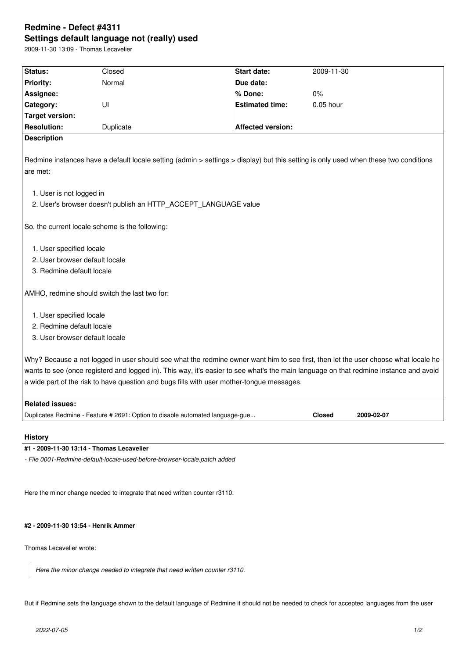# **Redmine - Defect #4311 Settings default language not (really) used**

2009-11-30 13:09 - Thomas Lecavelier

| Status:                                                                                                                                                                                                                                                                                                                                                                  | Closed                                                                        | Start date:              | 2009-11-30                  |  |  |
|--------------------------------------------------------------------------------------------------------------------------------------------------------------------------------------------------------------------------------------------------------------------------------------------------------------------------------------------------------------------------|-------------------------------------------------------------------------------|--------------------------|-----------------------------|--|--|
| <b>Priority:</b>                                                                                                                                                                                                                                                                                                                                                         | Normal                                                                        | Due date:                |                             |  |  |
| Assignee:                                                                                                                                                                                                                                                                                                                                                                |                                                                               | % Done:                  | 0%                          |  |  |
| Category:                                                                                                                                                                                                                                                                                                                                                                | UI                                                                            | <b>Estimated time:</b>   | 0.05 hour                   |  |  |
| <b>Target version:</b>                                                                                                                                                                                                                                                                                                                                                   |                                                                               |                          |                             |  |  |
| <b>Resolution:</b>                                                                                                                                                                                                                                                                                                                                                       | Duplicate                                                                     | <b>Affected version:</b> |                             |  |  |
| <b>Description</b>                                                                                                                                                                                                                                                                                                                                                       |                                                                               |                          |                             |  |  |
| Redmine instances have a default locale setting (admin > settings > display) but this setting is only used when these two conditions<br>are met:                                                                                                                                                                                                                         |                                                                               |                          |                             |  |  |
| 1. User is not logged in<br>2. User's browser doesn't publish an HTTP_ACCEPT_LANGUAGE value                                                                                                                                                                                                                                                                              |                                                                               |                          |                             |  |  |
| So, the current locale scheme is the following:                                                                                                                                                                                                                                                                                                                          |                                                                               |                          |                             |  |  |
| 1. User specified locale<br>2. User browser default locale<br>3. Redmine default locale                                                                                                                                                                                                                                                                                  |                                                                               |                          |                             |  |  |
| AMHO, redmine should switch the last two for:                                                                                                                                                                                                                                                                                                                            |                                                                               |                          |                             |  |  |
| 1. User specified locale<br>2. Redmine default locale<br>3. User browser default locale                                                                                                                                                                                                                                                                                  |                                                                               |                          |                             |  |  |
| Why? Because a not-logged in user should see what the redmine owner want him to see first, then let the user choose what locale he<br>wants to see (once registerd and logged in). This way, it's easier to see what's the main language on that redmine instance and avoid<br>a wide part of the risk to have question and bugs fills with user mother-tongue messages. |                                                                               |                          |                             |  |  |
| <b>Related issues:</b>                                                                                                                                                                                                                                                                                                                                                   |                                                                               |                          |                             |  |  |
|                                                                                                                                                                                                                                                                                                                                                                          | Duplicates Redmine - Feature # 2691: Option to disable automated language-gue |                          | <b>Closed</b><br>2009-02-07 |  |  |
|                                                                                                                                                                                                                                                                                                                                                                          |                                                                               |                          |                             |  |  |

## **History**

# **#1 - 2009-11-30 13:14 - Thomas Lecavelier**

*- File 0001-Redmine-default-locale-used-before-browser-locale.patch added*

Here the minor change needed to integrate that need written counter r3110.

# **#2 - 2009-11-30 13:54 - Henrik Ammer**

Thomas Lecavelier wrote:

*Here the minor change needed to integrate that need written counter r3110.*

But if Redmine sets the language shown to the default language of Redmine it should not be needed to check for accepted languages from the user